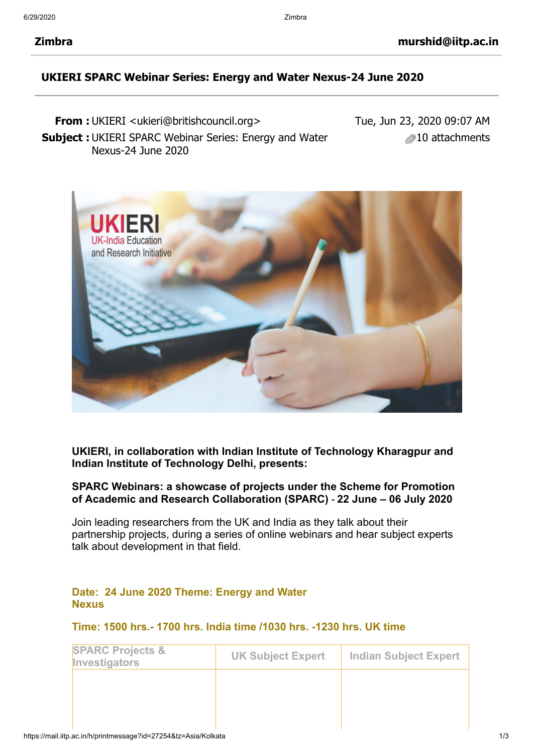## **UKIERI SPARC Webinar Series: Energy and Water Nexus-24 June 2020**

**From :** UKIERI <ukieri@britishcouncil.org> **Subject :** UKIERI SPARC Webinar Series: Energy and Water Nexus-24 June 2020 Tue, Jun 23, 2020 09:07 AM 10 attachments



**UKIERI, in collaboration with Indian Institute of Technology Kharagpur and Indian Institute of Technology Delhi, presents:**

## **SPARC Webinars: a showcase of projects under the Scheme for Promotion of Academic and Research Collaboration (SPARC) - 22 June – 06 July 2020**

Join leading researchers from the UK and India as they talk about their partnership projects, during a series of online webinars and hear subject experts talk about development in that field.

#### **Date: 24 June 2020 Theme: Energy and Water Nexus**

## **Time: 1500 hrs.- 1700 hrs. India time /1030 hrs. -1230 hrs. UK time**

| <b>SPARC Projects &amp;</b><br>Investigators | <b>UK Subject Expert</b> | <b>Indian Subject Expert</b> |
|----------------------------------------------|--------------------------|------------------------------|
|                                              |                          |                              |
|                                              |                          |                              |
|                                              |                          |                              |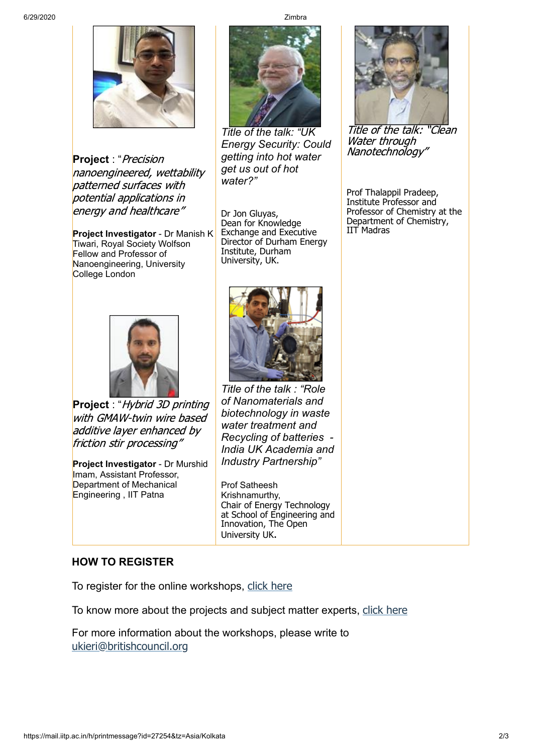

**Project** : "Precision nanoengineered, wettability patterned surfaces with potential applications in energy and healthcare"

**Project Investigator** - Dr Manish K Tiwari, Royal Society Wolfson Fellow and Professor of Nanoengineering, University College London



**Project** : "Hybrid 3D printing with GMAW-twin wire based additive layer enhanced by friction stir processing"

**Project Investigator** - Dr Murshid Imam, Assistant Professor, Department of Mechanical Engineering , IIT Patna



*Title of the talk: "UK Energy Security: Could getting into hot water get us out of hot water?"*

Dr Jon Gluyas, Dean for Knowledge Exchange and Executive Director of Durham Energy Institute, Durham University, UK.



*Title of the talk : "Role of Nanomaterials and biotechnology in waste water treatment and Recycling of batteries - India UK Academia and Industry Partnership"*

Prof Satheesh Krishnamurthy, Chair of Energy Technology at School of Engineering and Innovation, The Open University UK.

# **HOW TO REGISTER**

To register for the online workshops, [click here](http://ukieri.org/announcements/sparc-dissemination-webinars-june-july-2020)

To know more about the projects and subject matter experts, [click here](http://ukieri.org/public/uploads/anoucement_file/1592808128805-UKIERISPARCWebinarsSession2EnergyandWaterNexus.pdf)

For more information about the workshops, please write to [ukieri@britishcouncil.org](mailto:ukieri@britishcouncil.org)



Title of the talk: "Clean Water through Nanotechnology"

Prof Thalappil Pradeep, Institute Professor and Professor of Chemistry at the Department of Chemistry, IIT Madras